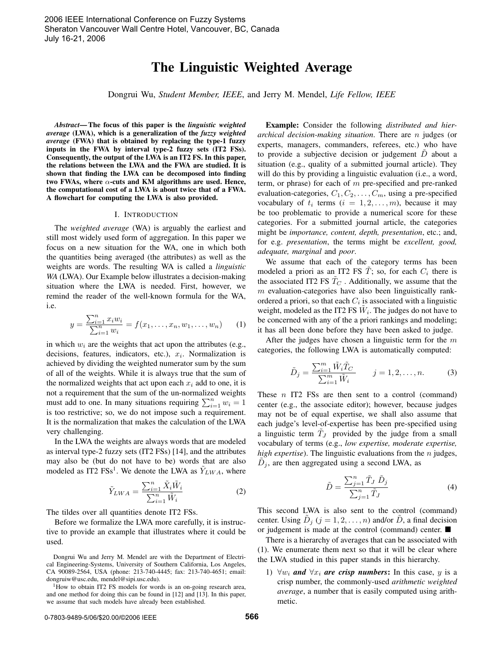# **The Linguistic Weighted Average**

Dongrui Wu, *Student Member, IEEE*, and Jerry M. Mendel, *Life Fellow, IEEE*

*Abstract***— The focus of this paper is the** *linguistic weighted average* **(LWA), which is a generalization of the** *fuzzy weighted average* **(FWA) that is obtained by replacing the type-1 fuzzy inputs in the FWA by interval type-2 fuzzy sets (IT2 FSs). Consequently, the output of the LWA is an IT2 FS. In this paper, the relations between the LWA and the FWA are studied. It is shown that finding the LWA can be decomposed into finding two FWAs, where** *α***-cuts and KM algorithms are used. Hence, the computational cost of a LWA is about twice that of a FWA. A flowchart for computing the LWA is also provided.**

#### I. INTRODUCTION

The *weighted average* (WA) is arguably the earliest and still most widely used form of aggregation. In this paper we focus on a new situation for the WA, one in which both the quantities being averaged (the attributes) as well as the weights are words. The resulting WA is called a *linguistic WA* (LWA). Our Example below illustrates a decision-making situation where the LWA is needed. First, however, we remind the reader of the well-known formula for the WA, i.e.

$$
y = \frac{\sum_{i=1}^{n} x_i w_i}{\sum_{i=1}^{n} w_i} = f(x_1, \dots, x_n, w_1, \dots, w_n)
$$
 (1)

in which  $w_i$  are the weights that act upon the attributes (e.g., decisions, features, indicators, etc.), x*i*. Normalization is achieved by dividing the weighted numerator sum by the sum of all of the weights. While it is always true that the sum of the normalized weights that act upon each  $x_i$  add to one, it is not a requirement that the sum of the un-normalized weights must add to one. In many situations requiring  $\sum_{i=1}^{n} w_i = 1$ is too restrictive; so, we do not impose such a requirement. It is the normalization that makes the calculation of the LWA very challenging.

In the LWA the weights are always words that are modeled as interval type-2 fuzzy sets (IT2 FSs) [14], and the attributes may also be (but do not have to be) words that are also modeled as IT2  $FSS<sup>1</sup>$ . We denote the LWA as  $Y<sub>LWA</sub>$ , where

$$
\tilde{Y}_{LWA} = \frac{\sum_{i=1}^{n} \tilde{X}_i \tilde{W}_i}{\sum_{i=1}^{n} \tilde{W}_i}
$$
\n(2)

The tildes over all quantities denote IT2 FSs.

Before we formalize the LWA more carefully, it is instructive to provide an example that illustrates where it could be used.

Dongrui Wu and Jerry M. Mendel are with the Department of Electrical Engineering-Systems, University of Southern California, Los Angeles, CA 90089-2564, USA (phone: 213-740-4445; fax: 213-740-4651; email: dongruiw@usc.edu, mendel@sipi.usc.edu).

<sup>1</sup>How to obtain IT2 FS models for words is an on-going research area, and one method for doing this can be found in [12] and [13]. In this paper, we assume that such models have already been established.

**Example:** Consider the following *distributed and hierarchical decision-making situation*. There are n judges (or experts, managers, commanders, referees, etc.) who have to provide a subjective decision or judgement  $D$  about a situation (e.g., quality of a submitted journal article). They will do this by providing a linguistic evaluation (*i.e.*, a word, term, or phrase) for each of  $m$  pre-specified and pre-ranked evaluation-categories,  $C_1, C_2, \ldots, C_m$ , using a pre-specified vocabulary of  $t_i$  terms  $(i = 1, 2, \ldots, m)$ , because it may be too problematic to provide a numerical score for these categories. For a submitted journal article, the categories might be *importance, content, depth, presentation*, etc.; and, for e.g. *presentation*, the terms might be *excellent, good, adequate, marginal* and *poor*.

We assume that each of the category terms has been modeled a priori as an IT2 FS  $T$ ; so, for each  $C_i$  there is the associated IT2 FS  $\tilde{T}_C$ . Additionally, we assume that the  $m$  evaluation-categories have also been linguistically rankordered a priori, so that each C*<sup>i</sup>* is associated with a linguistic weight, modeled as the IT2 FS  $W_i$ . The judges do not have to be concerned with any of the a priori rankings and modeling; it has all been done before they have been asked to judge.

After the judges have chosen a linguistic term for the  $m$ categories, the following LWA is automatically computed:

$$
\tilde{D}_j = \frac{\sum_{i=1}^m \tilde{W}_i \tilde{T}_C}{\sum_{i=1}^m \tilde{W}_i} \qquad j = 1, 2, \dots, n. \tag{3}
$$

These  $n$  IT2 FSs are then sent to a control (command) center (e.g., the associate editor); however, because judges may not be of equal expertise, we shall also assume that each judge's level-of-expertise has been pre-specified using a linguistic term  $\tilde{T}_J$  provided by the judge from a small vocabulary of terms (e.g., *low expertise, moderate expertise, high expertise*). The linguistic evaluations from the *n* judges,  $D_j$ , are then aggregated using a second LWA, as

$$
\tilde{D} = \frac{\sum_{j=1}^{n} \tilde{T}_J \tilde{D}_j}{\sum_{j=1}^{n} \tilde{T}_J}
$$
\n(4)

This second LWA is also sent to the control (command) center. Using  $D_j$  ( $j = 1, 2, ..., n$ ) and/or D, a final decision or judgement is made at the control (command) center.

There is a hierarchy of averages that can be associated with (1). We enumerate them next so that it will be clear where the LWA studied in this paper stands in this hierarchy.

1)  $\forall w_i$  *and*  $\forall x_i$  *are crisp numbers*: In this case, y is a crisp number, the commonly-used *arithmetic weighted average*, a number that is easily computed using arithmetic.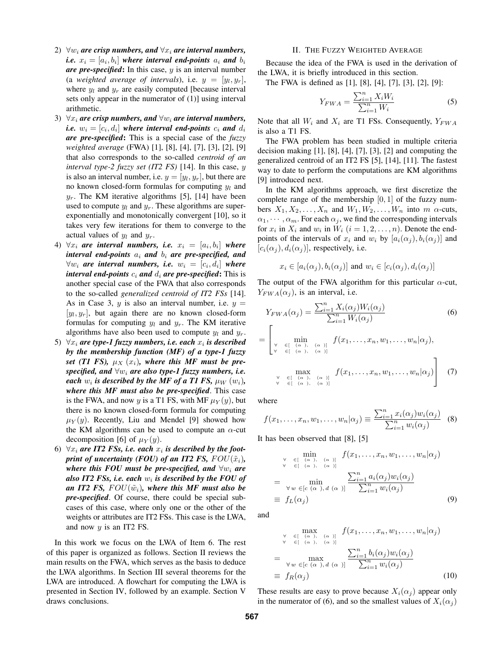- 2)  $\forall w_i$  *are crisp numbers, and*  $\forall x_i$  *are interval numbers, i.e.*  $x_i = [a_i, b_i]$  where interval end-points  $a_i$  and  $b_i$ *are pre-specified***:** In this case, y is an interval number (a *weighted average of intervals*), i.e.  $y = [y_l, y_r]$ , where  $y_l$  and  $y_r$  are easily computed [because interval sets only appear in the numerator of (1)] using interval arithmetic.
- 3) ∀x*<sup>i</sup> are crisp numbers, and* ∀w*<sup>i</sup> are interval numbers, i.e.*  $w_i = [c_i, d_i]$  where interval end-points  $c_i$  and  $d_i$ *are pre-specified***:** This is a special case of the *fuzzy weighted average* (FWA) [1], [8], [4], [7], [3], [2], [9] that also corresponds to the so-called *centroid of an interval type-2 fuzzy set (IT2 FS)* [14]. In this case, y is also an interval number, i.e.  $y = [y_l, y_r]$ , but there are no known closed-form formulas for computing y*<sup>l</sup>* and  $y_r$ . The KM iterative algorithms [5], [14] have been used to compute  $y_l$  and  $y_r$ . These algorithms are superexponentially and monotonically convergent [10], so it takes very few iterations for them to converge to the actual values of y*<sup>l</sup>* and y*r*.
- 4)  $\forall x_i$  are interval numbers, i.e.  $x_i = [a_i, b_i]$  where *interval end-points* a*<sup>i</sup> and* b*<sup>i</sup> are pre-specified, and*  $∀w<sub>i</sub>$  *are interval numbers, i.e.*  $w<sub>i</sub> = [c<sub>i</sub>, d<sub>i</sub>]$  where *interval end-points*  $c_i$  *and*  $d_i$  *are pre-specified*: This is another special case of the FWA that also corresponds to the so-called *generalized centroid of IT2 FSs* [14]. As in Case 3, y is also an interval number, i.e.  $y =$  $[y_l, y_r]$ , but again there are no known closed-form formulas for computing  $y_l$  and  $y_r$ . The KM iterative algorithms have also been used to compute y*<sup>l</sup>* and y*r*.
- 5)  $\forall x_i$  *are type-1 fuzzy numbers, i.e. each*  $x_i$  *is described by the membership function (MF) of a type-1 fuzzy* set (T1 FS),  $\mu_X(x_i)$ , where this MF must be pre*specified, and* ∀w*<sup>i</sup> are also type-1 fuzzy numbers, i.e. each*  $w_i$  *is described by the MF of a T1 FS,*  $\mu_W(w_i)$ , *where this MF must also be pre-specified*. This case is the FWA, and now y is a T1 FS, with MF  $\mu_Y(y)$ , but there is no known closed-form formula for computing  $\mu_Y(y)$ . Recently, Liu and Mendel [9] showed how the KM algorithms can be used to compute an  $\alpha$ -cut decomposition [6] of  $\mu_Y(y)$ .
- 6)  $\forall x_i$  are IT2 FSs, i.e. each  $x_i$  is described by the foot*print of uncertainty (FOU) of an IT2 FS,*  $FOU(\tilde{x}_i)$ *, where this FOU must be pre-specified, and* ∀w*<sup>i</sup> are also IT2 FSs, i.e. each* w*<sup>i</sup> is described by the FOU of an IT2 FS,*  $FOU(\tilde{w}_i)$ *, where this MF must also be pre-specified*. Of course, there could be special subcases of this case, where only one or the other of the weights or attributes are IT2 FSs. This case is the LWA, and now  $y$  is an IT2 FS.

In this work we focus on the LWA of Item 6. The rest of this paper is organized as follows. Section II reviews the main results on the FWA, which serves as the basis to deduce the LWA algorithms. In Section III several theorems for the LWA are introduced. A flowchart for computing the LWA is presented in Section IV, followed by an example. Section V draws conclusions.

### II. THE FUZZY WEIGHTED AVERAGE

Because the idea of the FWA is used in the derivation of the LWA, it is briefly introduced in this section.

The FWA is defined as [1], [8], [4], [7], [3], [2], [9]:

$$
Y_{FWA} = \frac{\sum_{i=1}^{n} X_i W_i}{\sum_{i=1}^{n} W_i}
$$
 (5)

Note that all W*<sup>i</sup>* and X*<sup>i</sup>* are T1 FSs. Consequently, Y*FWA* is also a T1 FS.

The FWA problem has been studied in multiple criteria decision making  $[1]$ ,  $[8]$ ,  $[4]$ ,  $[7]$ ,  $[3]$ ,  $[2]$  and computing the generalized centroid of an IT2 FS [5], [14], [11]. The fastest way to date to perform the computations are KM algorithms [9] introduced next.

In the KM algorithms approach, we first discretize the complete range of the membership  $[0, 1]$  of the fuzzy numbers  $X_1, X_2, \ldots, X_n$  and  $W_1, W_2, \ldots, W_n$  into  $m$   $\alpha$ -cuts,  $\alpha_1, \cdots, \alpha_m$ . For each  $\alpha_j$ , we find the corresponding intervals for  $x_i$  in  $X_i$  and  $w_i$  in  $W_i$   $(i = 1, 2, \ldots, n)$ . Denote the endpoints of the intervals of  $x_i$  and  $w_i$  by  $[a_i(\alpha_i), b_i(\alpha_i)]$  and  $[c_i(\alpha_j), d_i(\alpha_j)]$ , respectively, i.e.

$$
x_i \in [a_i(\alpha_j), b_i(\alpha_j)] \text{ and } w_i \in [c_i(\alpha_j), d_i(\alpha_j)]
$$

The output of the FWA algorithm for this particular  $\alpha$ -cut,  $Y_{FWA}(\alpha_i)$ , is an interval, i.e.

$$
Y_{FWA}(\alpha_j) = \frac{\sum_{i=1}^{n} X_i(\alpha_j) W_i(\alpha_j)}{\sum_{i=1}^{n} W_i(\alpha_j)}
$$
(6)  

$$
= \begin{bmatrix} \min_{\substack{\forall \alpha \in \{ [ (\alpha_\alpha), (\alpha_\beta) ] \\ \forall \beta \in [ [ (\alpha_\beta), [\alpha_\beta] ] \end{bmatrix}} f(x_1, \dots, x_n, w_1, \dots, w_n | \alpha_j),
$$
  

$$
\max_{\substack{\forall \alpha \in \{ [ (\alpha_\beta), [\alpha_\beta] ] \\ \forall \beta \in [ [ (\alpha_\beta), [\alpha_\beta] ]}} f(x_1, \dots, x_n, w_1, \dots, w_n | \alpha_j) \end{bmatrix}
$$
(7)

where

$$
f(x_1,\ldots,x_n,w_1,\ldots,w_n|\alpha_j) \equiv \frac{\sum_{i=1}^n x_i(\alpha_j)w_i(\alpha_j)}{\sum_{i=1}^n w_i(\alpha_j)}
$$
 (8)

It has been observed that [8], [5]

$$
\begin{align}\n\begin{aligned}\n\sum_{\forall j \in \{1, (\alpha, j), (0, j)\}} \min_{\alpha, \beta} f(x_1, \dots, x_n, w_1, \dots, w_n | \alpha_j) \\
= \min_{\forall w, \in [c(\alpha, j), d(\alpha, j)]} \frac{\sum_{i=1}^n a_i(\alpha_j) w_i(\alpha_j)}{\sum_{i=1}^n w_i(\alpha_j)} \\
\equiv f_L(\alpha_j)\n\end{aligned}\n\end{align}
$$

and

$$
\forall \psi \in \mathbb{E} \left[ \begin{array}{cc} \max \\ \langle \alpha, \beta \rangle \\ \langle \beta, \beta \rangle \end{array} \right] \left[ \begin{array}{cc} f(x_1, \dots, x_n, w_1, \dots, w_n | \alpha_j) \\ \langle \alpha, \beta \rangle \end{array} \right]
$$
\n
$$
= \max_{\forall w \in \mathbb{E} \left[ \langle \alpha, \beta \rangle, d(\alpha, \beta) \right]} \frac{\sum_{i=1}^n b_i(\alpha_j) w_i(\alpha_j)}{\sum_{i=1}^n w_i(\alpha_j)} \mathbb{E} \left[ \begin{array}{cc} f(n) & \text{if } n \in \mathbb{Z} \right] \end{array} \right]
$$
\n
$$
= f_R(\alpha_j) \tag{10}
$$

These results are easy to prove because  $X_i(\alpha_i)$  appear only in the numerator of (6), and so the smallest values of  $X_i(\alpha_j)$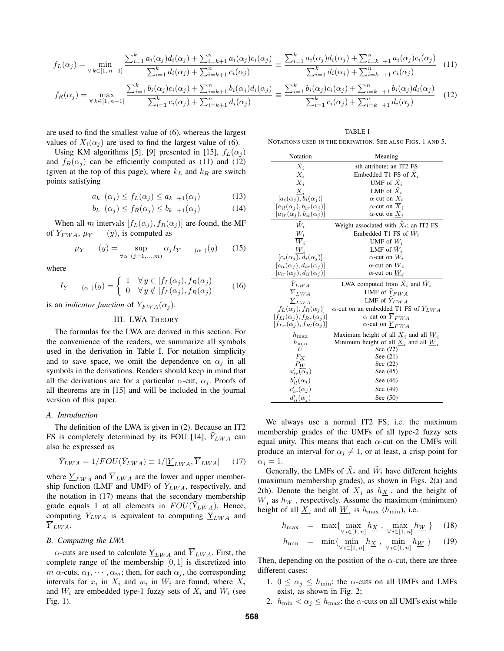$$
f_L(\alpha_j) = \min_{\forall k \in [1, n-1]} \frac{\sum_{i=1}^k a_i(\alpha_j) d_i(\alpha_j) + \sum_{i=k+1}^n a_i(\alpha_j) c_i(\alpha_j)}{\sum_{i=1}^k d_i(\alpha_j) + \sum_{i=k+1}^n c_i(\alpha_j)} = \frac{\sum_{i=1}^k a_i(\alpha_j) d_i(\alpha_j) + \sum_{i=k+1}^n a_i(\alpha_j) c_i(\alpha_j)}{\sum_{i=1}^k d_i(\alpha_j) + \sum_{i=k+1}^n c_i(\alpha_j)}
$$
(11)  

$$
f_R(\alpha_j) = \max_{\forall k \in [1, n-1]} \frac{\sum_{i=1}^k b_i(\alpha_j) c_i(\alpha_j) + \sum_{i=k+1}^n b_i(\alpha_j) d_i(\alpha_j)}{\sum_{i=k+1}^n d_i(\alpha_j)} = \frac{\sum_{i=1}^k b_i(\alpha_j) c_i(\alpha_j) + \sum_{i=k+1}^n b_i(\alpha_j) d_i(\alpha_j)}{\sum_{i=1}^k c_i(\alpha_j) + \sum_{i=k+1}^n d_i(\alpha_j)}
$$
(12)

are used to find the smallest value of (6), whereas the largest values of  $X_i(\alpha_i)$  are used to find the largest value of (6).

Using KM algorithms [5], [9] presented in [15],  $f_L(\alpha_j)$ and  $f_R(\alpha_j)$  can be efficiently computed as (11) and (12) (given at the top of this page), where  $k_L$  and  $k_R$  are switch points satisfying

$$
a_k \ (\alpha_j) \le f_L(\alpha_j) \le a_{k+1}(\alpha_j) \tag{13}
$$

$$
b_k \ (\alpha_j) \le f_R(\alpha_j) \le b_{k+1}(\alpha_j) \tag{14}
$$

When all m intervals  $[f_L(\alpha_j), f_R(\alpha_j)]$  are found, the MF of  $Y_{FWA}$ ,  $\mu_Y$  (y), is computed as

$$
\mu_Y \qquad (y) = \sup_{\forall \alpha \ (j=1,\dots,m)} \alpha_j I_Y \qquad (\alpha \)(y) \qquad (15)
$$

where

$$
I_Y \qquad_{(\alpha\)}(y) = \begin{cases} 1 & \forall y \in [f_L(\alpha_j), f_R(\alpha_j)] \\ 0 & \forall y \notin [f_L(\alpha_j), f_R(\alpha_j)] \end{cases} \tag{16}
$$

is an *indicator function* of  $Y_{FWA}(\alpha_i)$ .

### III. LWA THEORY

The formulas for the LWA are derived in this section. For the convenience of the readers, we summarize all symbols used in the derivation in Table I. For notation simplicity and to save space, we omit the dependence on  $\alpha_j$  in all symbols in the derivations. Readers should keep in mind that all the derivations are for a particular  $\alpha$ -cut,  $\alpha_i$ . Proofs of all theorems are in [15] and will be included in the journal version of this paper.

### *A. Introduction*

The definition of the LWA is given in (2). Because an IT2 FS is completely determined by its FOU [14],  $\hat{Y}_{LWA}$  can also be expressed as

$$
\tilde{Y}_{LWA} = 1/FOU(\tilde{Y}_{LWA}) \equiv 1/[\underline{Y}_{LWA}, \overline{Y}_{LWA}] \tag{17}
$$

where  $\underline{Y}_{LWA}$  and  $\overline{Y}_{LWA}$  are the lower and upper membership function (LMF and UMF) of  $\tilde{Y}_{LWA}$ , respectively, and the notation in (17) means that the secondary membership grade equals 1 at all elements in  $FOU(\tilde{Y}_{LWA})$ . Hence, computing  $Y_{LWA}$  is equivalent to computing  $Y_{LWA}$  and  $\overline{Y}_{LWA}$ .

### *B. Computing the LWA*

 $\alpha$ -cuts are used to calculate  $\underline{Y}_{LWA}$  and  $\overline{Y}_{LWA}$ . First, the complete range of the membership  $[0, 1]$  is discretized into  $m \alpha$ -cuts,  $\alpha_1, \cdots, \alpha_m$ ; then, for each  $\alpha_j$ , the corresponding intervals for  $x_i$  in  $X_i$  and  $w_i$  in  $W_i$  are found, where  $X_i$ and  $W_i$  are embedded type-1 fuzzy sets of  $\tilde{X}_i$  and  $\tilde{W}_i$  (see Fig. 1).

TABLE I NOTATIONS USED IN THE DERIVATION. SEE ALSO FIGS. 1 AND 5.

| Notation                                         | Meaning                                                           |
|--------------------------------------------------|-------------------------------------------------------------------|
| $\tilde{X}_i$                                    | <i>i</i> th attribute; an IT2 FS                                  |
| $X_i$                                            | Embedded T1 FS of $\tilde{X}_i$                                   |
| $\overline{X}_i$                                 | UMF of $X_i$                                                      |
|                                                  | LMF of $\tilde{X}_i$                                              |
| $\frac{X_i}{[a_i(\alpha_j),b_i(\alpha_j)]}$      | $\alpha$ -cut on $X_i$                                            |
| $[a_{il}(\alpha_j), b_{ir}(\alpha_j)]$           | $\alpha$ -cut on $X_i$                                            |
| $[a_{ir}(\alpha_j), b_{il}(\alpha_j)]$           | $\alpha$ -cut on $X_i$                                            |
| $\tilde{W}_i$                                    | Weight associated with $\bar{X}_i$ ; an IT2 FS                    |
| $W_i$                                            | Embedded T1 FS of $W_i$                                           |
| $\overline{W}_i$                                 | UMF of $\tilde{W}_i$                                              |
|                                                  | LMF of $W_i$                                                      |
| $\frac{W_i}{[c_i(\alpha_j), d_i(\alpha_j)]}$     | $\alpha$ -cut on $W_i$                                            |
| $[c_{il}(\alpha_j), d_{ir}(\alpha_j)]$           | $\alpha$ -cut on $W_i$                                            |
| $[c_{ir}(\alpha_i), d_{il}(\alpha_j)]$           | $\alpha$ -cut on $W_i$                                            |
| $\tilde{Y}_{LWA}$                                | LWA computed from $\tilde{X}_i$ and $\tilde{W}_i$                 |
| $\overline{Y}_{LWA}$                             | UMF of $\tilde{Y}_{FWA}$                                          |
| $Y_{LWA}$                                        | LMF of $Y_{FWA}$                                                  |
| $[f_L(\alpha_j), f_R(\alpha_j)]$                 | $\alpha$ -cut on an embedded T1 FS of $\tilde{Y}_{LWA}$           |
| $[f_{Ll}(\alpha_j), f_{Rr}(\alpha_j)]$           | $\alpha$ -cut on $\overline{Y}_{FWA}$                             |
| $[f_{Lr}(\alpha_j), f_{Rl}(\alpha_j)]$           | $\alpha$ -cut on $Y_{FWA}$                                        |
| $h_{\rm max}$                                    | Maximum height of all $\underline{X}_i$ and all $\underline{W}_i$ |
| $h_{\min}$                                       | Minimum height of all $\underline{X}_i$ and all $\underline{W}_i$ |
| U                                                | See (??)                                                          |
| $\frac{P_X}{P_W}$ $a'_{ir}(\overline{\alpha}_j)$ | See $(21)$                                                        |
|                                                  | See $(22)$                                                        |
|                                                  | See $(45)$                                                        |
| $b'_{il}(\alpha_j)$                              | See $(46)$                                                        |
| $c'_{ir}(\alpha_j)$                              | See (49)                                                          |
| $d'_{il}(\alpha_j)$                              | See $(50)$                                                        |

We always use a normal IT2 FS; i.e. the maximum membership grades of the UMFs of all type-2 fuzzy sets equal unity. This means that each  $\alpha$ -cut on the UMFs will produce an interval for  $\alpha_j \neq 1$ , or at least, a crisp point for  $\alpha_j = 1$ .

Generally, the LMFs of  $\tilde{X}_i$  and  $\tilde{W}_i$  have different heights (maximum membership grades), as shown in Figs. 2(a) and 2(b). Denote the height of  $\underline{X}_i$  as  $h\underline{X}$ , and the height of  $W_i$  as  $h_W$ , respectively. Assume the maximum (minimum) height of all  $\underline{X}_i$  and all  $\underline{W}_i$  is  $h_{\text{max}}$  ( $h_{\text{min}}$ ), i.e.

$$
h_{\max} = \max\{\max_{\forall i \in [1, n]} h_{\underline{X}}, \max_{\forall i \in [1, n]} h_{\underline{W}}\} \quad (18)
$$

$$
h_{\min} = \min\{\min_{\forall i \in [1,n]} h_{\underline{X}}, \min_{\forall i \in [1,n]} h_{\underline{W}}\} \quad (19)
$$

Then, depending on the position of the  $\alpha$ -cut, there are three different cases:

- 1.  $0 \le \alpha_j \le h_{\text{min}}$ : the  $\alpha$ -cuts on all UMFs and LMFs exist, as shown in Fig. 2;
- 2.  $h_{\min} < \alpha_j \leq h_{\max}$ : the  $\alpha$ -cuts on all UMFs exist while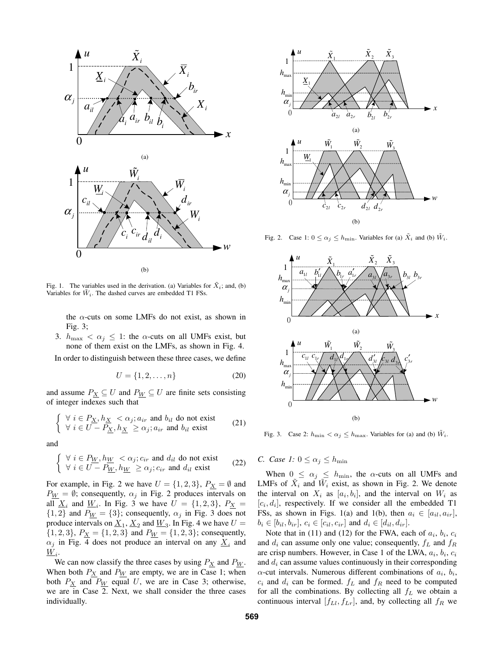

Fig. 1. The variables used in the derivation. (a) Variables for  $\tilde{X}_i$ ; and, (b) Variables for  $\tilde{W}_i$ . The dashed curves are embedded T1 FSs.

the  $\alpha$ -cuts on some LMFs do not exist, as shown in Fig. 3;

3.  $h_{\text{max}} < \alpha_j \leq 1$ : the  $\alpha$ -cuts on all UMFs exist, but none of them exist on the LMFs, as shown in Fig. 4.

In order to distinguish between these three cases, we define

$$
U = \{1, 2, \dots, n\}
$$
 (20)

and assume  $P_X \subseteq U$  and  $P_W \subseteq U$  are finite sets consisting of integer indexes such that

$$
\begin{cases} \forall i \in P_{\underline{X}}, h_{\underline{X}} < \alpha_j; a_{ir} \text{ and } b_{il} \text{ do not exist} \\ \forall i \in U - P_{\underline{X}}, h_{\underline{X}} \ge \alpha_j; a_{ir} \text{ and } b_{il} \text{ exist} \end{cases} (21)
$$

and

$$
\begin{cases} \forall i \in P_{\underline{W}}, h_{\underline{W}} < \alpha_j; c_{ir} \text{ and } d_{il} \text{ do not exist} \\ \forall i \in U - P_{\underline{W}}, h_{\underline{W}} \ge \alpha_j; c_{ir} \text{ and } d_{il} \text{ exist} \end{cases} (22)
$$

For example, in Fig. 2 we have  $U = \{1, 2, 3\}$ ,  $P_X = \emptyset$  and  $P_W = \emptyset$ ; consequently,  $\alpha_j$  in Fig. 2 produces intervals on all  $\underline{X}_i$  and  $\underline{W}_i$ . In Fig. 3 we have  $U = \{1, 2, 3\}$ ,  $P_{\underline{X}} =$  ${1, 2}$  and  $P_W = {3}$ ; consequently,  $\alpha_j$  in Fig. 3 does not produce intervals on  $\underline{X}_1$ ,  $\underline{X}_2$  and  $\underline{W}_3$ . In Fig. 4 we have  $U =$  ${1, 2, 3}$ ,  $P_X = {1, 2, 3}$  and  $P_W = {1, 2, 3}$ ; consequently,  $\alpha_j$  in Fig. 4 does not produce an interval on any  $\underline{X}_i$  and W*i*.

We can now classify the three cases by using  $P_X$  and  $P_W$ . When both  $P_{\underline{X}}$  and  $P_{\underline{W}}$  are empty, we are in Case 1; when both  $P_X$  and  $P_W$  equal U, we are in Case 3; otherwise, we are in Case 2. Next, we shall consider the three cases individually.



Fig. 2. Case 1:  $0 \le \alpha_j \le h_{\text{min}}$ . Variables for (a)  $\tilde{X}_i$  and (b)  $\tilde{W}_i$ .



Fig. 3. Case 2:  $h_{\min} < \alpha_j \leq h_{\max}$ . Variables for (a) and (b)  $\tilde{W}_i$ .

# *C. Case 1:*  $0 \leq \alpha_j \leq h_{\min}$

When  $0 \leq \alpha_j \leq h_{\text{min}}$ , the  $\alpha$ -cuts on all UMFs and LMFs of  $\tilde{X}_i$  and  $\tilde{W}_i$  exist, as shown in Fig. 2. We denote the interval on  $X_i$  as  $[a_i, b_i]$ , and the interval on  $W_i$  as  $[c_i, d_i]$ , respectively. If we consider all the embedded T1 FSs, as shown in Figs. 1(a) and 1(b), then  $a_i \in [a_{il}, a_{ir}]$ ,  $b_i \in [b_{il}, b_{ir}], c_i \in [c_{il}, c_{ir}]$  and  $d_i \in [d_{il}, d_{ir}].$ 

Note that in (11) and (12) for the FWA, each of  $a_i$ ,  $b_i$ ,  $c_i$ and d*<sup>i</sup>* can assume only one value; consequently, f*<sup>L</sup>* and f*<sup>R</sup>* are crisp numbers. However, in Case 1 of the LWA, a*i*, b*i*, c*<sup>i</sup>* and d*<sup>i</sup>* can assume values continuously in their corresponding  $\alpha$ -cut intervals. Numerous different combinations of  $a_i$ ,  $b_i$ ,  $c_i$  and  $d_i$  can be formed.  $f_L$  and  $f_R$  need to be computed for all the combinations. By collecting all f*<sup>L</sup>* we obtain a continuous interval  $[f_{Ll}, f_{Lr}]$ , and, by collecting all  $f_R$  we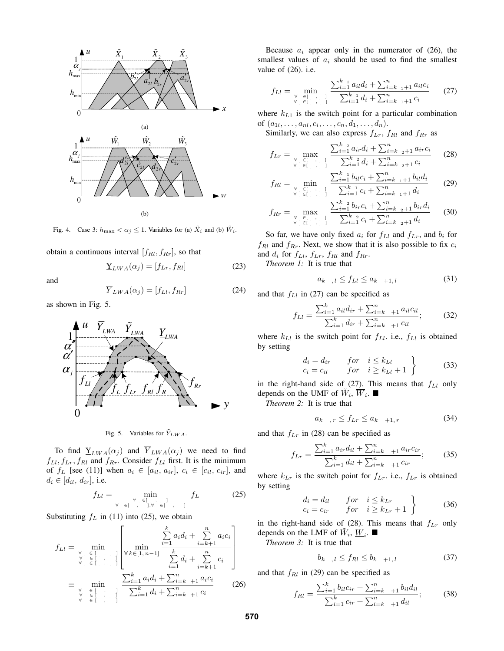

Fig. 4. Case 3:  $h_{\text{max}} < \alpha_j \leq 1$ . Variables for (a)  $\tilde{X}_i$  and (b)  $\tilde{W}_i$ .

obtain a continuous interval [f*Rl*, f*Rr*], so that

$$
\underline{Y}_{LWA}(\alpha_j) = [f_{Lr}, f_{Rl}] \tag{23}
$$

and

$$
\overline{Y}_{LWA}(\alpha_j) = [f_{Ll}, f_{Rr}] \tag{24}
$$

as shown in Fig. 5.



Fig. 5. Variables for  $\tilde{Y}_{LWA}$ .

To find  $Y_{LWA}(\alpha_j)$  and  $\overline{Y}_{LWA}(\alpha_j)$  we need to find  $f_{Ll}$ ,  $f_{Lr}$ ,  $f_{Rl}$  and  $f_{Rr}$ . Consider  $f_{Ll}$  first. It is the minimum of  $f_L$  [see (11)] when  $a_i \in [a_{il}, a_{ir}]$ ,  $c_i \in [c_{il}, c_{ir}]$ , and  $d_i \in [d_{il}, d_{ir}],$  i.e.

$$
f_{LL} = \min_{\forall \substack{\forall \substack{c \in [0,1,2], \\ c \in [0,1,2], [0,1,2], \\ c \in [0,1,2,2], \\ c \in [0,1,2,2,2]}} f_L
$$
 (25)

Substituting  $f_L$  in (11) into (25), we obtain

$$
f_{Ll} = \min_{\substack{\forall i \in [1, 1, 1] \\ \forall i \in [1, 1, 1]}} \left[ \min_{\substack{\forall k \in [1, n-1] \\ \forall k \in [1, n-1]}} \frac{\sum_{i=1}^{k} a_i d_i + \sum_{i=k+1}^{n} a_i c_i}{\sum_{i=1}^{k} d_i + \sum_{i=k+1}^{n} c_i} \right]
$$

$$
\equiv \min_{\substack{\forall i \in [1, 1, 1] \\ \forall i \in [1, 1, 1]}} \frac{\sum_{i=1}^{k} a_i d_i + \sum_{i=k+1}^{n} a_i c_i}{\sum_{i=1}^{k} d_i + \sum_{i=k+1}^{n} c_i} \qquad (26)
$$

Because  $a_i$  appear only in the numerator of  $(26)$ , the smallest values of a*<sup>i</sup>* should be used to find the smallest value of  $(26)$ . i.e.

$$
f_{Ll} = \min_{\substack{\forall \ j \in \{1, \dots, n\} \\ \forall j \in \{1, \dots, n\}}} \frac{\sum_{i=1}^{k} a_{il} d_i + \sum_{i=k}^{n} a_{i+1} a_{il} c_i}{\sum_{i=1}^{k} d_i + \sum_{i=k}^{n} a_{i+1} c_i}
$$
(27)

where  $k_{L1}$  is the switch point for a particular combination of  $(a_{1l},...,a_{nl},c_i,...,c_n,d_1,...,d_n).$ 

Similarly, we can also express  $f_{Lr}$ ,  $f_{Rl}$  and  $f_{Rr}$  as

$$
f_{Lr} = \max_{\substack{\forall \quad \in \left[ \quad \dots \quad \right] \\ \forall \quad \in \left[ \quad \dots \quad \right] \\ }} \frac{\sum_{i=1}^{k} a_{ir} d_i + \sum_{i=k}^{n} a_{2} + 1} {a_{ir} c_i} \qquad (28)
$$

$$
f_{Rl} = \min_{\forall \substack{ \forall i \in \{1, \dots, n\} \\ \forall i \in \{1, \dots, n\}}} \frac{\sum_{i=1}^{k} b_{il} c_i + \sum_{i=k}^{n} b_{il} d_i}{\sum_{i=1}^{k} c_i + \sum_{i=k}^{n} b_{i1} d_i}
$$
 (29)

$$
f_{Rr} = \max_{\substack{\forall \ |\ \in [1, 1, 1] \\ \forall \ |\ \in [1, 1, 1]}} \frac{\sum_{i=1}^{k} b_{ir} c_i + \sum_{i=k}^{n} b_{ir} d_i}{\sum_{i=1}^{k} c_i + \sum_{i=k}^{n} b_{i} d_i}
$$
 (30)

So far, we have only fixed  $a_i$  for  $f_{Ll}$  and  $f_{Lr}$ , and  $b_i$  for  $f_{Rl}$  and  $f_{Rr}$ . Next, we show that it is also possible to fix  $c_i$ and  $d_i$  for  $f_{Ll}$ ,  $f_{Lr}$ ,  $f_{Rl}$  and  $f_{Rr}$ .

*Theorem 1:* It is true that

$$
a_{k}, l \le f_{Ll} \le a_{k} + 1, l \tag{31}
$$

and that  $f_{Ll}$  in (27) can be specified as

$$
f_{Ll} = \frac{\sum_{i=1}^{k} a_{il} d_{ir} + \sum_{i=k}^{n} +1} a_{il} c_{il}}{\sum_{i=1}^{k} d_{ir} + \sum_{i=k}^{n} +1} c_{il}};
$$
 (32)

where  $k_{Ll}$  is the switch point for  $f_{Ll}$ . i.e.,  $f_{Ll}$  is obtained by setting

$$
d_i = d_{ir} \tfor i \le k_{Ll} c_i = c_{il} \tfor i \ge k_{Ll} + 1 \t\t(33)
$$

in the right-hand side of (27). This means that f*Ll* only depends on the UMF of  $\tilde{W}_i$ ,  $\overline{W}_i$ .

*Theorem 2:* It is true that

$$
a_{k}, r \le f_{Lr} \le a_{k} + 1, r \tag{34}
$$

and that  $f_{Lr}$  in (28) can be specified as

$$
f_{Lr} = \frac{\sum_{i=1}^{k} a_{ir} d_{il} + \sum_{i=k}^{n} +1} a_{ir} c_{ir}}{\sum_{i=1}^{k} d_{il} + \sum_{i=k}^{n} +1} c_{ir};
$$
(35)

where  $k_{Lr}$  is the switch point for  $f_{Lr}$ . i.e.,  $f_{Lr}$  is obtained by setting

$$
\begin{aligned}\nd_i &= d_{il} & \quad \text{for} & i \le k_{Lr} \\
c_i &= c_{ir} & \quad \text{for} & i \ge k_{Lr} + 1\n\end{aligned}\n\bigg\} \tag{36}
$$

in the right-hand side of (28). This means that f*Lr* only depends on the LMF of  $W_i$ ,  $W_i$ .

*Theorem 3:* It is true that

$$
b_{k}, l \leq f_{Rl} \leq b_{k} + 1, l \tag{37}
$$

and that  $f_{Rl}$  in (29) can be specified as

$$
f_{Rl} = \frac{\sum_{i=1}^{k} b_{il}c_{ir} + \sum_{i=k}^{n} b_{il}d_{il}}{\sum_{i=1}^{k} c_{ir} + \sum_{i=k}^{n} b_{il}d_{il}};
$$
 (38)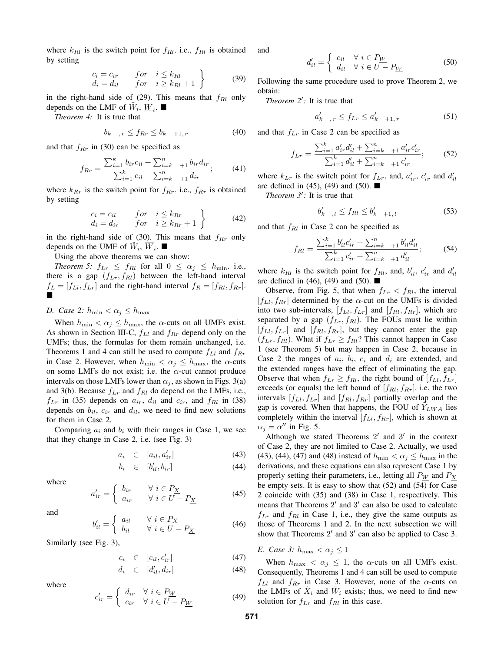where  $k_{Rl}$  is the switch point for  $f_{Rl}$ . i.e.,  $f_{Rl}$  is obtained by setting

$$
c_i = c_{ir} \tfor \t i \le k_{Rl} \nd_i = d_{il} \tfor \t i \ge k_{Rl} + 1
$$
\n(39)

in the right-hand side of  $(29)$ . This means that  $f_{Rl}$  only depends on the LMF of  $W_i$ ,  $W_i$ .

*Theorem 4:* It is true that

$$
b_{k}, r \le f_{Rr} \le b_{k} + 1, r \tag{40}
$$

and that  $f_{Rr}$  in (30) can be specified as

$$
f_{Rr} = \frac{\sum_{i=1}^{k} b_{ir} c_{il} + \sum_{i=k}^{n} +1} b_{ir} d_{ir}}{\sum_{i=1}^{k} c_{il} + \sum_{i=k}^{n} +1} d_{ir};
$$
(41)

where  $k_{Rr}$  is the switch point for  $f_{Rr}$ . i.e.,  $f_{Rr}$  is obtained by setting

$$
c_i = c_{il} \tfor i \leq k_{Rr} \n d_i = d_{ir} \tfor i \geq k_{Rr} + 1 \t\t(42)
$$

in the right-hand side of (30). This means that  $f_{Rr}$  only depends on the UMF of  $\overline{W}_i$ ,  $\overline{W}_i$ .

Using the above theorems we can show:

*Theorem 5:*  $f_{Lr} \leq f_{Rl}$  for all  $0 \leq \alpha_j \leq h_{\min}$ . i.e., there is a gap  $(f_{Lr}, f_{Rl})$  between the left-hand interval  $f_L = [f_{Ll}, f_{Lr}]$  and the right-hand interval  $f_R = [f_{Rl}, f_{Rr}]$ . Ц

# *D. Case 2:*  $h_{\min} < \alpha_j \leq h_{\max}$

When  $h_{\min} < \alpha_j \leq h_{\max}$ , the  $\alpha$ -cuts on all UMFs exist. As shown in Section III-C, f*Ll* and f*Rr* depend only on the UMFs; thus, the formulas for them remain unchanged, i.e. Theorems 1 and 4 can still be used to compute  $f_{Ll}$  and  $f_{Rr}$ in Case 2. However, when  $h_{\min} < \alpha_j \leq h_{\max}$ , the  $\alpha$ -cuts on some LMFs do not exist; i.e. the  $\alpha$ -cut cannot produce intervals on those LMFs lower than  $\alpha_j$ , as shown in Figs. 3(a) and 3(b). Because  $f_{Lr}$  and  $f_{Rl}$  do depend on the LMFs, i.e.,  $f_{Lr}$  in (35) depends on  $a_{ir}$ ,  $d_{il}$  and  $c_{ir}$ , and  $f_{Rl}$  in (38) depends on b*il*, c*ir* and d*il*, we need to find new solutions for them in Case 2.

Comparing  $a_i$  and  $b_i$  with their ranges in Case 1, we see that they change in Case 2, i.e. (see Fig. 3)

$$
a_i \in [a_{il}, a'_{ir}] \tag{43}
$$

$$
b_i \in [b'_{il}, b_{ir}] \tag{44}
$$

where

$$
a'_{ir} = \begin{cases} b_{ir} & \forall i \in P_{\underline{X}} \\ a_{ir} & \forall i \in U - P_{\underline{X}} \end{cases}
$$
(45)

and

$$
b'_{il} = \begin{cases} a_{il} & \forall \ i \in P_{\underline{X}} \\ b_{il} & \forall \ i \in U - P_{\underline{X}} \end{cases}
$$
 (46)

Similarly (see Fig. 3),

$$
c_i \in [c_{il}, c'_{ir}] \tag{47}
$$

$$
d_i \in [d'_{il}, d_{ir}] \tag{48}
$$

where

$$
c'_{ir} = \begin{cases} d_{ir} & \forall i \in P_{\underline{W}} \\ c_{ir} & \forall i \in U - P_{\underline{W}} \end{cases}
$$
(49)

and

$$
d'_{il} = \begin{cases} c_{il} & \forall i \in P_{\underline{W}} \\ d_{il} & \forall i \in U - P_{\underline{W}} \end{cases}
$$
 (50)

Following the same procedure used to prove Theorem 2, we obtain:

*Theorem 2 :* It is true that

$$
a'_{k^-,r} \le f_{Lr} \le a'_{k^-,+1,r} \tag{51}
$$

and that  $f_{Lr}$  in Case 2 can be specified as

$$
f_{Lr} = \frac{\sum_{i=1}^{k} a'_{ir} d'_{il} + \sum_{i=k}^{n} a'_{ir} c'_{ir}}{\sum_{i=1}^{k} d'_{il} + \sum_{i=k}^{n} a'_{i} c'_{ir}};
$$
 (52)

where  $k_{Lr}$  is the switch point for  $f_{Lr}$ , and,  $a'_{ir}$ ,  $c'_{ir}$  and  $d'_{il}$ are defined in (45), (49) and (50).  $\blacksquare$ 

*Theorem 3 :* It is true that

$$
b'_{k,j} \le f_{Rl} \le b'_{k,j+1,l} \tag{53}
$$

and that f*Rl* in Case 2 can be specified as

$$
f_{Rl} = \frac{\sum_{i=1}^{k} b'_{il} c'_{ir} + \sum_{i=k}^{n} b'_{il} d'_{il}}{\sum_{i=1}^{k} c'_{ir} + \sum_{i=k}^{n} b'_{il} d'_{il}};
$$
 (54)

where  $k_{Rl}$  is the switch point for  $f_{Rl}$ , and,  $b'_{il}$ ,  $c'_{ir}$  and  $d'_{il}$ are defined in (46), (49) and (50).  $\blacksquare$ 

Observe, from Fig. 5, that when  $f_{Lr} < f_{Rl}$ , the interval  $[f_{Ll}, f_{Rr}]$  determined by the  $\alpha$ -cut on the UMFs is divided into two sub-intervals,  $[f_{Ll}, f_{Lr}]$  and  $[f_{Rl}, f_{Rr}]$ , which are separated by a gap (f*Lr*, f*Rl*). The FOUs must lie within  $[f_{Ll}, f_{Lr}]$  and  $[f_{Rl}, f_{Rr}]$ , but they cannot enter the gap  $(f_{Lr}, f_{Rl})$ . What if  $f_{Lr} \geq f_{Rl}$ ? This cannot happen in Case 1 (see Theorem 5) but may happen in Case 2, because in Case 2 the ranges of  $a_i$ ,  $b_i$ ,  $c_i$  and  $d_i$  are extended, and the extended ranges have the effect of eliminating the gap. Observe that when  $f_{Lr} \geq f_{Rl}$ , the right bound of  $[f_{Ll}, f_{Lr}]$ exceeds (or equals) the left bound of  $[f_{Rl}, f_{Rr}]$ . i.e. the two intervals [f*Ll*, f*Lr*] and [f*Rl*, f*Rr*] partially overlap and the gap is covered. When that happens, the FOU of  $Y_{LWA}$  lies completely within the interval  $[f_{Ll}, f_{Rr}]$ , which is shown at  $\alpha_j = \alpha''$  in Fig. 5.

Although we stated Theorems  $2'$  and  $3'$  in the context of Case 2, they are not limited to Case 2. Actually, we used (43), (44), (47) and (48) instead of  $h_{\min} < \alpha_j \le h_{\max}$  in the derivations, and these equations can also represent Case 1 by properly setting their parameters, i.e., letting all P*<sup>W</sup>* and P*<sup>X</sup>* be empty sets. It is easy to show that (52) and (54) for Case 2 coincide with (35) and (38) in Case 1, respectively. This means that Theorems  $2'$  and  $3'$  can also be used to calculate  $f_{Lr}$  and  $f_{Rl}$  in Case 1, i.e., they give the same outputs as those of Theorems 1 and 2. In the next subsection we will show that Theorems  $2'$  and  $3'$  can also be applied to Case 3.

# *E.* Case 3:  $h_{\text{max}} < \alpha_j \leq 1$

When  $h_{\text{max}} < \alpha_j \leq 1$ , the  $\alpha$ -cuts on all UMFs exist. Consequently, Theorems 1 and 4 can still be used to compute  $f_{Ll}$  and  $f_{Rr}$  in Case 3. However, none of the  $\alpha$ -cuts on the LMFs of  $X_i$  and  $W_i$  exists; thus, we need to find new solution for  $f_{Lr}$  and  $f_{Rl}$  in this case.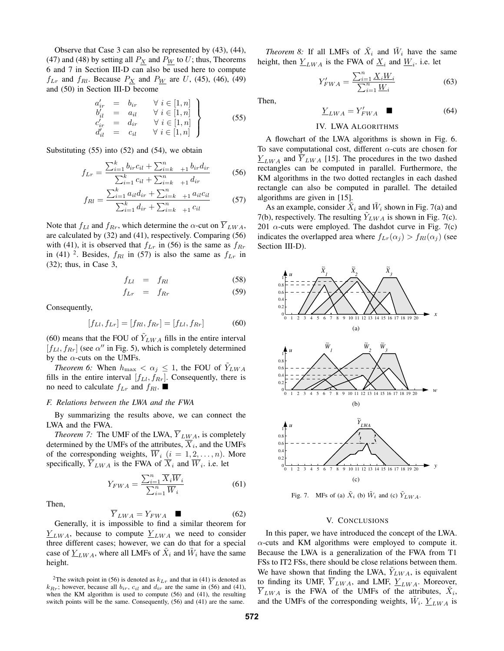Observe that Case 3 can also be represented by (43), (44), (47) and (48) by setting all  $P_X$  and  $P_W$  to U; thus, Theorems 6 and 7 in Section III-D can also be used here to compute  $f_{Lr}$  and  $f_{Rl}$ . Because  $P_X$  and  $P_W$  are U, (45), (46), (49) and (50) in Section III-D become

$$
\begin{array}{rcl}\na'_{ir} & = & b_{ir} & \forall i \in [1, n] \\
b'_{il} & = & a_{il} & \forall i \in [1, n] \\
c'_{ir} & = & d_{ir} & \forall i \in [1, n] \\
d'_{il} & = & c_{il} & \forall i \in [1, n]\n\end{array}
$$
\n(55)

Substituting  $(55)$  into  $(52)$  and  $(54)$ , we obtain

$$
f_{Lr} = \frac{\sum_{i=1}^{k} b_{ir} c_{il} + \sum_{i=k}^{n} b_{ir} d_{ir}}{\sum_{i=1}^{k} c_{il} + \sum_{i=k}^{n} b_{ir} d_{ir}}
$$
(56)

$$
f_{Rl} = \frac{\sum_{i=1}^{k} a_{il} d_{ir} + \sum_{i=k}^{n} A_{il} c_{il}}{\sum_{i=1}^{k} d_{ir} + \sum_{i=k}^{n} A_{il} c_{il}}
$$
(57)

Note that  $f_{Ll}$  and  $f_{Rr}$ , which determine the  $\alpha$ -cut on  $\overline{Y}_{LWA}$ , are calculated by (32) and (41), respectively. Comparing (56) with (41), it is observed that  $f_{Lr}$  in (56) is the same as  $f_{Rr}$ in (41) <sup>2</sup>. Besides,  $f_{Rl}$  in (57) is also the same as  $f_{Lr}$  in (32); thus, in Case 3,

$$
f_{Ll} = f_{Rl} \tag{58}
$$

$$
f_{Lr} = f_{Rr} \tag{59}
$$

Consequently,

$$
[f_{Ll}, f_{Lr}] = [f_{Rl}, f_{Rr}] = [f_{Ll}, f_{Rr}] \tag{60}
$$

(60) means that the FOU of  $\tilde{Y}_{LWA}$  fills in the entire interval  $[f_{Ll}, f_{Rr}]$  (see  $\alpha''$  in Fig. 5), which is completely determined by the  $\alpha$ -cuts on the UMFs.

*Theorem 6:* When  $h_{\text{max}} < \alpha_j \leq 1$ , the FOU of  $\tilde{Y}_{LWA}$ fills in the entire interval  $[f_{Ll}, f_{Rr}]$ . Consequently, there is no need to calculate  $f_{Lr}$  and  $f_{Rl}$ .

### *F. Relations between the LWA and the FWA*

By summarizing the results above, we can connect the LWA and the FWA.

*Theorem 7:* The UMF of the LWA,  $\overline{Y}_{LWA}$ , is completely determined by the UMFs of the attributes,  $\overline{X}_i$ , and the UMFs of the corresponding weights,  $\overline{W}_i$  ( $i = 1, 2, ..., n$ ). More specifically,  $\overline{Y}_{LWA}$  is the FWA of  $\overline{X}_i$  and  $\overline{W}_i$ . i.e. let

$$
Y_{FWA} = \frac{\sum_{i=1}^{n} \overline{X}_{i} \overline{W}_{i}}{\sum_{i=1}^{n} \overline{W}_{i}}
$$
(61)

Then,

$$
\overline{Y}_{LWA} = Y_{FWA} \quad \blacksquare \tag{62}
$$

Generally, it is impossible to find a similar theorem for  $Y_{LWA}$ , because to compute  $Y_{LWA}$  we need to consider three different cases; however, we can do that for a special case of  $Y_{LWA}$ , where all LMFs of  $X_i$  and  $W_i$  have the same height.

*Theorem 8:* If all LMFs of  $\tilde{X}_i$  and  $\tilde{W}_i$  have the same height, then  $Y_{LWA}$  is the FWA of  $X_i$  and  $W_i$ . i.e. let

$$
Y'_{FWA} = \frac{\sum_{i=1}^{n} \underline{X}_{i} \underline{W}_{i}}{\sum_{i=1}^{n} \underline{W}_{i}} \tag{63}
$$

Then,

$$
\underline{Y}_{LWA} = Y'_{FWA} \quad \blacksquare \tag{64}
$$

## IV. LWA ALGORITHMS

A flowchart of the LWA algorithms is shown in Fig. 6. To save computational cost, different  $\alpha$ -cuts are chosen for  $Y_{LWA}$  and  $\overline{Y}_{LWA}$  [15]. The procedures in the two dashed rectangles can be computed in parallel. Furthermore, the KM algorithms in the two dotted rectangles in each dashed rectangle can also be computed in parallel. The detailed algorithms are given in [15].

As an example, consider  $\tilde{X}_i$  and  $\tilde{W}_i$  shown in Fig. 7(a) and 7(b), respectively. The resulting  $\tilde{Y}_{LWA}$  is shown in Fig. 7(c). 201  $\alpha$ -cuts were employed. The dashdot curve in Fig. 7(c) indicates the overlapped area where  $f_{Lr}(\alpha_j) > f_{Rl}(\alpha_j)$  (see Section III-D).



Fig. 7. MFs of (a)  $\tilde{X}_i$  (b)  $\tilde{W}_i$  and (c)  $\tilde{Y}_{LWA}$ .

### V. CONCLUSIONS

In this paper, we have introduced the concept of the LWA.  $\alpha$ -cuts and KM algorithms were employed to compute it. Because the LWA is a generalization of the FWA from T1 FSs to IT2 FSs, there should be close relations between them. We have shown that finding the LWA,  $\tilde{Y}_{LWA}$ , is equivalent to finding its UMF,  $\overline{Y}_{LWA}$ , and LMF,  $Y_{LWA}$ . Moreover,  $\overline{Y}_{LWA}$  is the FWA of the UMFs of the attributes,  $X_i$ , and the UMFs of the corresponding weights,  $W_i$ .  $Y_{LWA}$  is

<sup>&</sup>lt;sup>2</sup>The switch point in (56) is denoted as  $k_{Lr}$  and that in (41) is denoted as  $k_{Rr}$ ; however, because all  $b_{ir}$ ,  $c_{il}$  and  $d_{ir}$  are the same in (56) and (41), when the KM algorithm is used to compute (56) and (41), the resulting switch points will be the same. Consequently, (56) and (41) are the same.